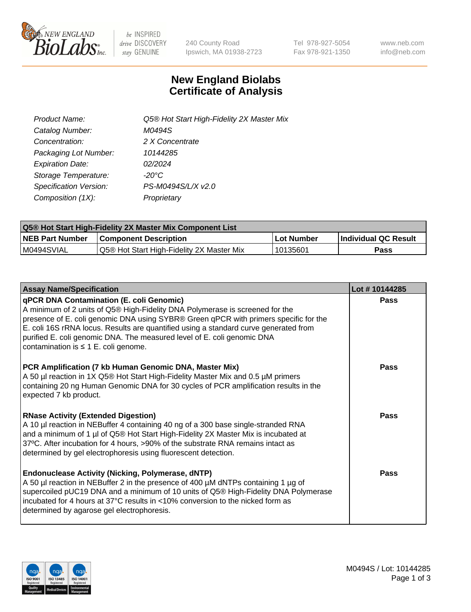

be INSPIRED drive DISCOVERY stay GENUINE

240 County Road Ipswich, MA 01938-2723 Tel 978-927-5054 Fax 978-921-1350 www.neb.com info@neb.com

## **New England Biolabs Certificate of Analysis**

| Product Name:           | Q5® Hot Start High-Fidelity 2X Master Mix |
|-------------------------|-------------------------------------------|
| Catalog Number:         | M0494S                                    |
| Concentration:          | 2 X Concentrate                           |
| Packaging Lot Number:   | 10144285                                  |
| <b>Expiration Date:</b> | 02/2024                                   |
| Storage Temperature:    | $-20^{\circ}$ C                           |
| Specification Version:  | PS-M0494S/L/X v2.0                        |
| Composition (1X):       | Proprietary                               |

| Q5® Hot Start High-Fidelity 2X Master Mix Component List |                                           |             |                      |  |  |
|----------------------------------------------------------|-------------------------------------------|-------------|----------------------|--|--|
| <b>NEB Part Number</b>                                   | <b>Component Description</b>              | ∣Lot Number | Individual QC Result |  |  |
| M0494SVIAL                                               | Q5® Hot Start High-Fidelity 2X Master Mix | 10135601    | Pass                 |  |  |

| <b>Assay Name/Specification</b>                                                                                                                                                                                                                                                                                                                                                                                                         | Lot #10144285 |
|-----------------------------------------------------------------------------------------------------------------------------------------------------------------------------------------------------------------------------------------------------------------------------------------------------------------------------------------------------------------------------------------------------------------------------------------|---------------|
| <b>qPCR DNA Contamination (E. coli Genomic)</b><br>A minimum of 2 units of Q5® High-Fidelity DNA Polymerase is screened for the<br>presence of E. coli genomic DNA using SYBR® Green qPCR with primers specific for the<br>E. coli 16S rRNA locus. Results are quantified using a standard curve generated from<br>purified E. coli genomic DNA. The measured level of E. coli genomic DNA<br>contamination is $\leq 1$ E. coli genome. | Pass          |
| PCR Amplification (7 kb Human Genomic DNA, Master Mix)<br>A 50 µl reaction in 1X Q5® Hot Start High-Fidelity Master Mix and 0.5 µM primers<br>containing 20 ng Human Genomic DNA for 30 cycles of PCR amplification results in the<br>expected 7 kb product.                                                                                                                                                                            | Pass          |
| <b>RNase Activity (Extended Digestion)</b><br>A 10 µl reaction in NEBuffer 4 containing 40 ng of a 300 base single-stranded RNA<br>and a minimum of 1 µl of Q5® Hot Start High-Fidelity 2X Master Mix is incubated at<br>37°C. After incubation for 4 hours, >90% of the substrate RNA remains intact as<br>determined by gel electrophoresis using fluorescent detection.                                                              | Pass          |
| <b>Endonuclease Activity (Nicking, Polymerase, dNTP)</b><br>A 50 µl reaction in NEBuffer 2 in the presence of 400 µM dNTPs containing 1 µg of<br>supercoiled pUC19 DNA and a minimum of 10 units of Q5® High-Fidelity DNA Polymerase<br>incubated for 4 hours at 37°C results in <10% conversion to the nicked form as<br>determined by agarose gel electrophoresis.                                                                    | Pass          |

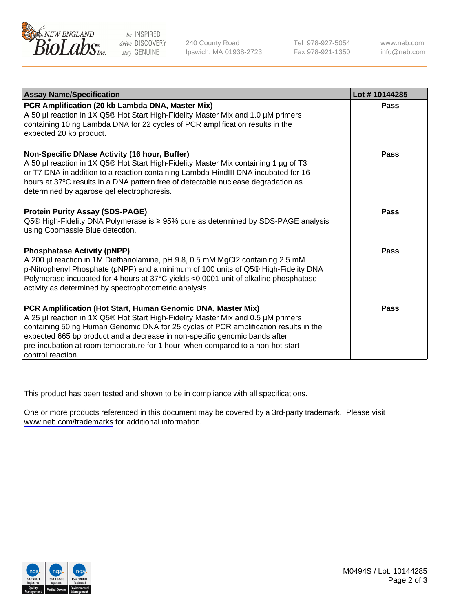

be INSPIRED drive DISCOVERY stay GENUINE

240 County Road Ipswich, MA 01938-2723 Tel 978-927-5054 Fax 978-921-1350

www.neb.com info@neb.com

| <b>Assay Name/Specification</b>                                                                                                                                                                                                                                                                                                                                                                                                | Lot #10144285 |
|--------------------------------------------------------------------------------------------------------------------------------------------------------------------------------------------------------------------------------------------------------------------------------------------------------------------------------------------------------------------------------------------------------------------------------|---------------|
| PCR Amplification (20 kb Lambda DNA, Master Mix)<br>A 50 µl reaction in 1X Q5® Hot Start High-Fidelity Master Mix and 1.0 µM primers<br>containing 10 ng Lambda DNA for 22 cycles of PCR amplification results in the<br>expected 20 kb product.                                                                                                                                                                               | <b>Pass</b>   |
| Non-Specific DNase Activity (16 hour, Buffer)<br>A 50 µl reaction in 1X Q5® Hot Start High-Fidelity Master Mix containing 1 µg of T3<br>or T7 DNA in addition to a reaction containing Lambda-HindIII DNA incubated for 16<br>hours at 37°C results in a DNA pattern free of detectable nuclease degradation as<br>determined by agarose gel electrophoresis.                                                                  | <b>Pass</b>   |
| <b>Protein Purity Assay (SDS-PAGE)</b><br>Q5® High-Fidelity DNA Polymerase is ≥ 95% pure as determined by SDS-PAGE analysis<br>using Coomassie Blue detection.                                                                                                                                                                                                                                                                 | <b>Pass</b>   |
| <b>Phosphatase Activity (pNPP)</b><br>A 200 µl reaction in 1M Diethanolamine, pH 9.8, 0.5 mM MgCl2 containing 2.5 mM<br>p-Nitrophenyl Phosphate (pNPP) and a minimum of 100 units of Q5® High-Fidelity DNA<br>Polymerase incubated for 4 hours at 37°C yields <0.0001 unit of alkaline phosphatase<br>activity as determined by spectrophotometric analysis.                                                                   | <b>Pass</b>   |
| PCR Amplification (Hot Start, Human Genomic DNA, Master Mix)<br>A 25 µl reaction in 1X Q5® Hot Start High-Fidelity Master Mix and 0.5 µM primers<br>containing 50 ng Human Genomic DNA for 25 cycles of PCR amplification results in the<br>expected 665 bp product and a decrease in non-specific genomic bands after<br>pre-incubation at room temperature for 1 hour, when compared to a non-hot start<br>control reaction. | Pass          |

This product has been tested and shown to be in compliance with all specifications.

One or more products referenced in this document may be covered by a 3rd-party trademark. Please visit <www.neb.com/trademarks>for additional information.